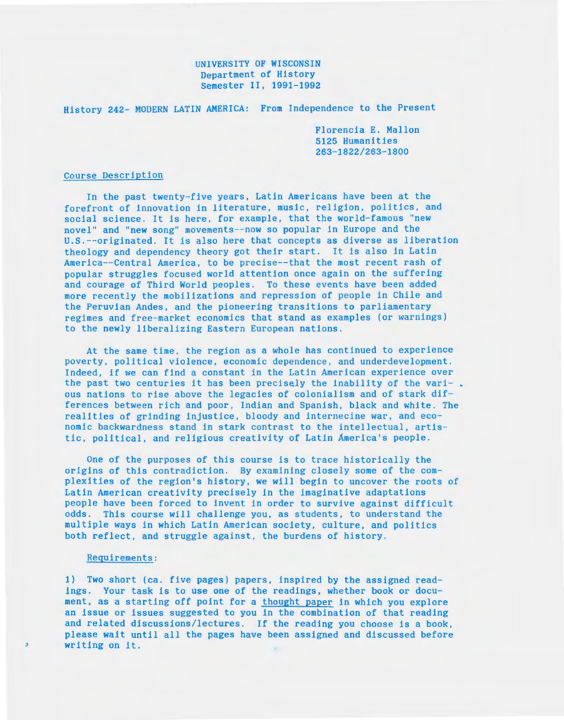## UNIVERSITY OF WISCONSIN Department of History Semester II, 1991-1992

History 242- MODERN LATIN AMERICA: From Independence to the Present

Florencia E. Mallon 5125 Humanities 263-1822/263-1800

## Course Description

In the past twenty-five years, Latin Americans have been at the forefront of innovation in literature, music, religion, politics, and social science. It is here, for example, that the world-famous "new novel" and "new song" movements--now so popular in Europe and the U.S.--originated. It is also here that concepts as diverse as liberation theology and dependency theory got their start. It is also in Latin America--Central America, to be precise-- that the most recent rash of popular struggles focused world attention once again on the suffering and courage of Third World peoples. To these events have been added more recently the mobilizations and repression of people in Chile and the Peruvian Andes, and the pioneering transitions to parliamentary regimes and free-market economics that stand as examples (or warnings) to the newly liberalizing Eastern European nations.

At the same time, the region as a whole has continued to experience poverty, political violence, economic dependence, and underdevelopment. Indeed, if we can find a constant in the Latin American experience over the past two centuries it has been precisely the inability of the vari-. ous nations to rise above the legacies of colonialism and of stark differences between rich and poor, Indian and Spanish, black and white. The realities of grinding injustice, bloody and internecine war, and economic backwardness stand in stark contrast to the intellectual, artistic, political, and religious creativity of Latin America's people.

One of the purposes of this course is to trace historically the origins of this contradiction. By examining closely some of the complexities of the region's history, we will begin to uncover the roots of Latin American creativity precisely in the imaginative adaptations people have been forced to invent in order to survive against difficult odds. This course will challenge you, as students, to understand the multiple ways in which Latin American society, culture, and politics both reflect, and struggle against, the burdens of history.

## Requirements:

 $\overline{z}$ 

1) Two short (ca. five pages) papers, inspired by the assigned readings. Your task is to use one of the readings, whether book or document, as a starting off point for a thought paper in which you explore an issue or issues suggested to you in the combination of that reading and related discussions/lectures. If the reading you choose is a book, please wait until all the pages have been assigned and discussed before writing on it.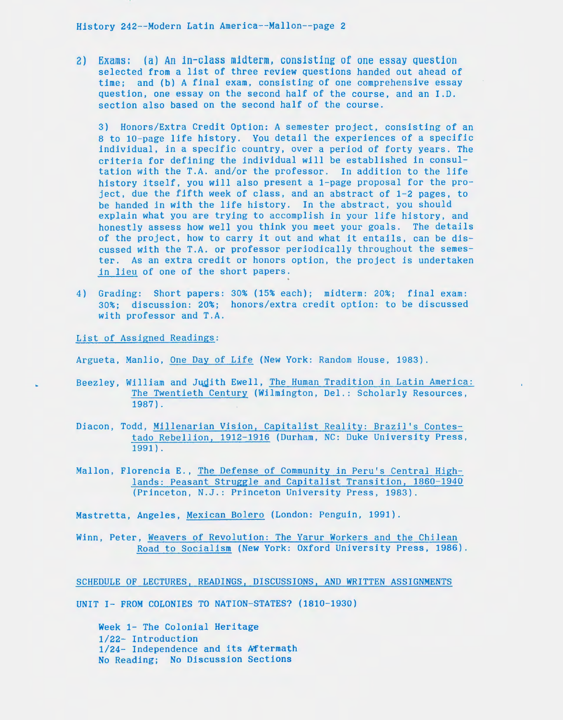History 242--Modern Latin America--Mallon--page 2

2) Exams: (a) An in-class midterm, consisting of one essay question selected from a list of three review questions handed out ahead of time; and (b) A final exam, consisting of one comprehensive essay question, one essay on the second half of the course, and an I.D. section also based on the second half of the course.

3) Honors/Extra Credit Option: A semester project, consisting of an 8 to 10-page life history. You detail the experiences of a specific individual, *in* a specific country, over a period of forty years. The criteria for defining the individual will be established in consultation with the T.A. and/or the professor. In addition to the life history itself, you will also present a 1-page proposal for the project, due the fifth week of class, and an abstract of 1-2 pages, to be handed in with the life history. In the abstract, you should explain what you are trying to accomplish in your life history, and honestly assess how well you think you meet your goals. The details of the project, how to carry it out and what it entails, can be discussed with the T.A. or professor periodically throughout the semester. As an extra credit or honors option, the project *is* undertaken *in* lieu of one of the short papers.

4) Grading: Short papers: 30% (15% each}; midterm: 20%; final exam: 30%; discussion: 20%; honors/extra credit option: to be discussed with professor and T.A.

List of Assigned Readings:

Argueta, Manlio, One Day of Life (New York: Random House, 1983).

- Beezley, William and Judith Ewell, The Human Tradition in Latin America: The Twentieth Century (Wilmington, Del.: Scholarly Resources, 1987).
- Diacon, Todd, Millenarian Vision, Capitalist Reality: Brazil's Contestado Rebellion, 1912-1916 (Durham, NC: Duke University Press, 1991}.
- Mallon, Florencia E., The Defense of Community *in* Peru's Central Highlands: Peasant Struggle and Capitalist Transition, 1860-1940 (Princeton, N.J.: Princeton University Press, 1983).

Mastretta, Angeles, Mexican Bolero (London: Penguin, 1991).

Winn, Peter, Weavers of Revolution: The Yarur Workers and the Chilean Road to Socialism (New York: Oxford University Press, 1986).

SCHEDULE OF LECTURES, READINGS, DISCUSSIONS, AND WRITTEN ASSIGNMENTS

UNIT I- FROM COLONIES TO NATION-STATES? (1810-1930)

Week 1- The Colonial Heritage 1/22- Introduction 1/24- Independence and its Aftermath No Reading; No Discussion Sections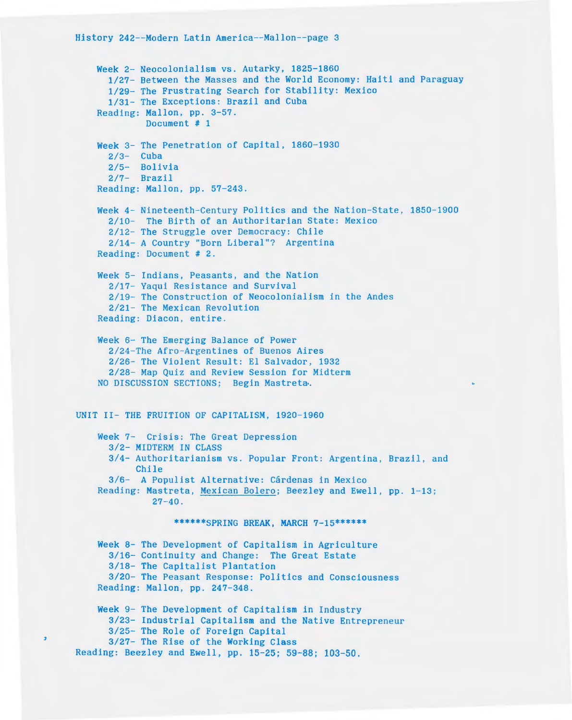$\overline{z}$ 

Week 2- Neocolonialism vs. Autarky, 1825-1860 1/27- Between the Masses and the World Economy: Haiti and Paraguay 1/29- The Frustrating Search for Stability: Mexico 1/31- The Exceptions: Brazil and Cuba Reading: Mallon, pp. 3-57 . Document # 1 Week 3- The Penetration of Capital, 1860-1930  $2/3$ - Cuba 2/5- Bolivia 2/7- Brazil Reading: Mallon, pp. 57-243. Week 4- Nineteenth-Century Politics and the Nation-State, 1850-1900 2/10- The Birth of an Authoritarian State: Mexico 2/12- The Struggle over Democracy: Chile 2/14- A Country "Born Liberal"? Argentina Reading: Document # 2. Week 5- Indians, Peasants, and the Nation 2/17- Yaqui Resistance and Survival 2/19- The Construction of Neocolonialism in the Andes 2/21- The Mexican Revolution Reading: Diacon, entire. Week 6- The Emerging Balance of Power 2/ 24-The Afro -Argentines of Buenos Aires 2/ 26- The Violent Result: El Salvador, 1932 2/28- Map Quiz and Review Session for Midterm NO DISCUSSION SECTIONS; Begin Mastreta. UNIT II- THE FRUITION OF CAPITALISM, 1920-1960 Week 7- Crisis: The Great Depression 3/2- MIDTERM IN CLASS 3/4- Authoritarianism vs. Popular Front: Argentina, Brazil, and Chile 3/6- A Populist Alternative: Cárdenas in Mexico Reading: Mastreta, Mexican Bolero; Beezley and Ewell, pp. 1-13;  $27 - 40$ . \*\*\*\*\*\*SPRING BREAK, MARCH 7-15\*\*\*\*\*\* Week 8- The Development of Capitalism in Agriculture 3/16- Continuity and Change: The Great Estate 3/18- The Capitalist Plantation 3/20- The Peasant Response: Politics and Consciousness Reading: Mallon, pp. 247-348. Week 9- The Development of Capitalism in Industry 3/23- Industrial Capitalism and the Native Entrepreneur 3/25- The Role of Foreign Capital 3/27- The Rise of the Working Class Reading: Beezley and Ewell, pp. 15-25; 59-88; 103-50.